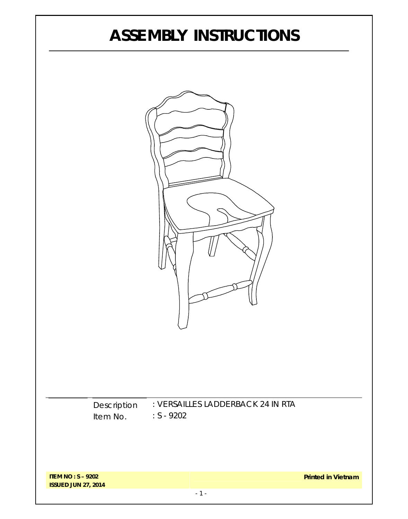# **ASSEMBLY INSTRUCTIONS**

| Description<br>Item No. | : VERSAILLES LADDERBACK 24 IN RTA<br>$: S - 9202$ |  |
|-------------------------|---------------------------------------------------|--|

**ITEM NO : S – 9202 ISSUED JUN 27, 2014**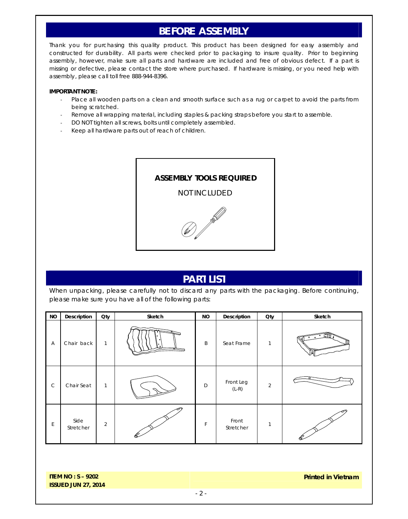## **BEFORE ASSEMBLY**

Thank you for purchasing this quality product. This product has been designed for easy assembly and constructed for durability. All parts were checked prior to packaging to insure quality. Prior to beginning assembly, however, make sure all parts and hardware are included and free of obvious defect. If a part is missing or defective, please contact the store where purchased. If hardware is missing, or you need help with assembly, please call toll free 888-944-8396.

#### **IMPORTANT NOTE:**

- Place all wooden parts on a clean and smooth surface such as a rug or carpet to avoid the parts from being scratched.
- Remove all wrapping material, including staples & packing straps before you start to assemble.
- DO NOT tighten all screws, bolts until completely assembled.
- Keep all hardware parts out of reach of children.



#### **PART LIST**

When unpacking, please carefully not to discard any parts with the packaging. Before continuing, please make sure you have all of the following parts:

| <b>NO</b>   | <b>Description</b> | Qty            | Sketch    | <b>NO</b> | <b>Description</b>   | Oty            | Sketch                             |
|-------------|--------------------|----------------|-----------|-----------|----------------------|----------------|------------------------------------|
| Α           | Chair back         | 1              | $\bullet$ | B         | Seat Frame           | 1              | Ea<br>$\bullet$<br>$\circ$ $\circ$ |
| $\mathsf C$ | Chair Seat         | $\mathbf{1}$   |           | D         | Front Leg<br>$(L-R)$ | $\overline{2}$ |                                    |
| E           | Side<br>Stretcher  | $\overline{2}$ |           | F         | Front<br>Stretcher   | 1              |                                    |

**ITEM NO : S – 9202 ISSUED JUN 27, 2014** **Printed in Vietnam**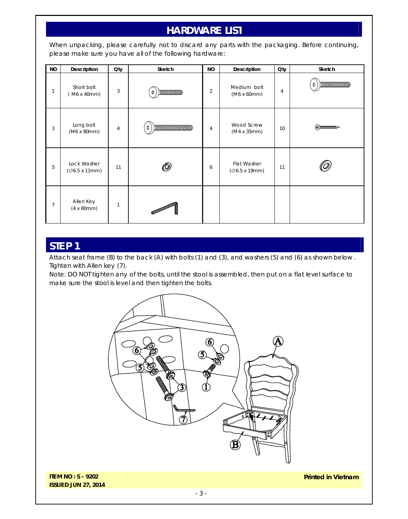# **HARDWARE LIST**

When unpacking, please carefully not to discard any parts with the packaging. Before continuing, please make sure you have all of the following hardware:

| <b>NO</b>      | Description                            | Qty            | Sketch                                                                                                              | <b>NO</b>      | <b>Description</b>                   | Qty | Sketch               |
|----------------|----------------------------------------|----------------|---------------------------------------------------------------------------------------------------------------------|----------------|--------------------------------------|-----|----------------------|
| 1              | Short bolt<br>(M6 x 40mm)              | 3              | mommon<br>Ф                                                                                                         | $\overline{2}$ | Medium bolt<br>(M6 x 60mm)           | 4   | boommommo<br>O       |
| 3              | Long bolt<br>(M6 x 80mm)               | $\overline{4}$ | ) dimensione di di secolul di secolul sull'in control di secolul sull'in sull'in control di secolul sull'in se<br>⇕ | 4              | Wood Screw<br>$(M4 \times 35$ mm $)$ | 10  | $(\theta)$ mmmmm $-$ |
| 5              | Lock Washer<br>(Ø6.5 x 11mm)           | 11             | $\bar{\mathbb{O}}$                                                                                                  | 6              | Flat Washer<br>(Ø6.5 x 19mm)         | 11  |                      |
| $\overline{7}$ | Allen Key<br>$(4 \times 80 \text{mm})$ | 1              |                                                                                                                     |                |                                      |     |                      |

### **STEP 1**

Attach seat frame (B) to the back (A) with bolts (1) and (3), and washers (5) and (6) as shown below . Tighten with Allen key (7).

Note: DO NOT tighten any of the bolts, until the stool is assembled, then put on a flat level surface to make sure the stool is level and then tighten the bolts.